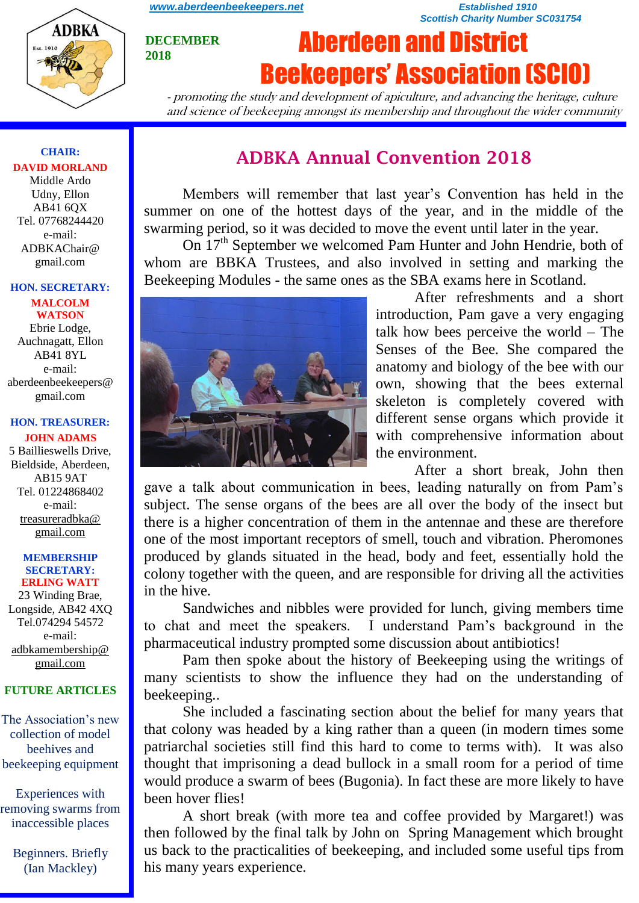

**DECEMBER 2018**

*[www.aberdeenbeekeepers.net](http://www.aberdeenbeekeepers.net/) Established 1910 Scottish Charity Number SC031754*

# Aberdeen and District Beekeepers' Association (SCIO)

- promoting the study and development of apiculture, and advancing the heritage, culture and science of beekeeping amongst its membership and throughout the wider community

#### **CHAIR: DAVID MORLAND** Middle Ardo

Udny, Ellon AB41 6QX Tel. 07768244420 e-mail: ADBKAChair@ gmail.com

#### **HON. SECRETARY:**

**MALCOLM WATSON** Ebrie Lodge, Auchnagatt, Ellon AB41 8YL e-mail: aberdeenbeekeepers@ gmail.com

#### **HON. TREASURER: JOHN ADAMS**

5 Baillieswells Drive, Bieldside, Aberdeen, AB15 9AT Tel. 01224868402 e-mail: [treasureradbka@](https://e.mail.ru/compose/?mailto=mailto%3atreasureradbka@gmail.com)  [gmail.com](https://e.mail.ru/compose/?mailto=mailto%3atreasureradbka@gmail.com)

#### **MEMBERSHIP SECRETARY: ERLING WATT**

23 Winding Brae, Longside, AB42 4XQ Tel.074294 54572 e-mail: [adbkamembership@](mailto:watterlingg@aol.com) [gmail.com](mailto:watterlingg@aol.com)

#### **FUTURE ARTICLES**

The Association's new collection of model beehives and beekeeping equipment

Experiences with removing swarms from inaccessible places

Beginners. Briefly (Ian Mackley)

# **ADBKA Annual Convention 2018**

Members will remember that last year's Convention has held in the summer on one of the hottest days of the year, and in the middle of the swarming period, so it was decided to move the event until later in the year.

On  $17<sup>th</sup>$  September we welcomed Pam Hunter and John Hendrie, both of whom are BBKA Trustees, and also involved in setting and marking the Beekeeping Modules - the same ones as the SBA exams here in Scotland.



After refreshments and a short introduction, Pam gave a very engaging talk how bees perceive the world – The Senses of the Bee. She compared the anatomy and biology of the bee with our own, showing that the bees external skeleton is completely covered with different sense organs which provide it with comprehensive information about the environment.

After a short break, John then

gave a talk about communication in bees, leading naturally on from Pam's subject. The sense organs of the bees are all over the body of the insect but there is a higher concentration of them in the antennae and these are therefore one of the most important receptors of smell, touch and vibration. Pheromones produced by glands situated in the head, body and feet, essentially hold the colony together with the queen, and are responsible for driving all the activities in the hive.

Sandwiches and nibbles were provided for lunch, giving members time to chat and meet the speakers. I understand Pam's background in the pharmaceutical industry prompted some discussion about antibiotics!

Pam then spoke about the history of Beekeeping using the writings of many scientists to show the influence they had on the understanding of beekeeping..

She included a fascinating section about the belief for many years that that colony was headed by a king rather than a queen (in modern times some patriarchal societies still find this hard to come to terms with). It was also thought that imprisoning a dead bullock in a small room for a period of time would produce a swarm of bees (Bugonia). In fact these are more likely to have been hover flies!

A short break (with more tea and coffee provided by Margaret!) was then followed by the final talk by John on Spring Management which brought us back to the practicalities of beekeeping, and included some useful tips from his many years experience.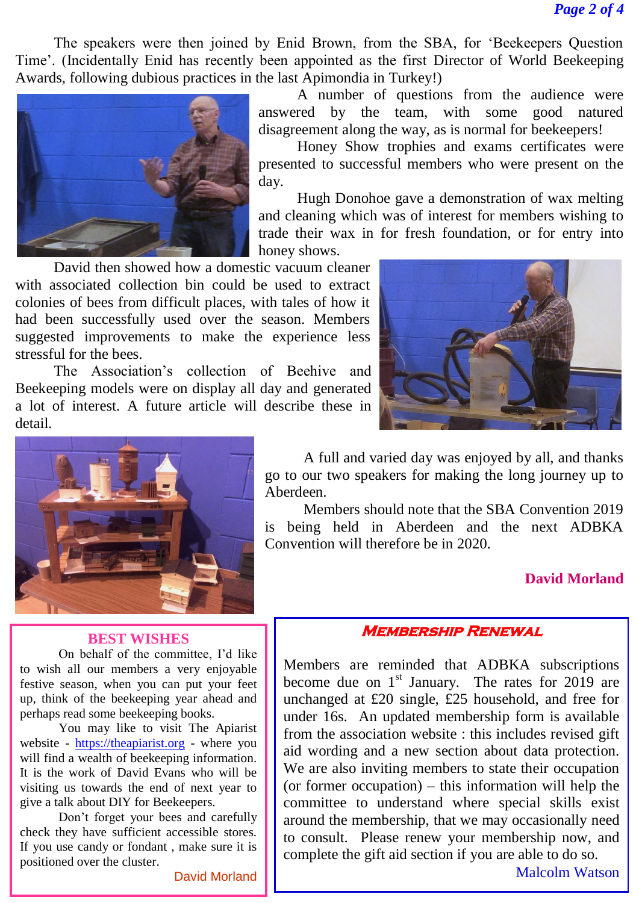The speakers were then joined by Enid Brown, from the SBA, for 'Beekeepers Question Time'. (Incidentally Enid has recently been appointed as the first Director of World Beekeeping Awards, following dubious practices in the last Apimondia in Turkey!)



A number of questions from the audience were answered by the team, with some good natured disagreement along the way, as is normal for beekeepers!

Honey Show trophies and exams certificates were presented to successful members who were present on the day.

Hugh Donohoe gave a demonstration of wax melting and cleaning which was of interest for members wishing to trade their wax in for fresh foundation, or for entry into honey shows.

David then showed how a domestic vacuum cleaner with associated collection bin could be used to extract colonies of bees from difficult places, with tales of how it had been successfully used over the season. Members suggested improvements to make the experience less stressful for the bees.

The Association's collection of Beehive and Beekeeping models were on display all day and generated a lot of interest. A future article will describe these in detail.





A full and varied day was enjoyed by all, and thanks go to our two speakers for making the long journey up to Aberdeen.

Members should note that the SBA Convention 2019 is being held in Aberdeen and the next ADBKA Convention will therefore be in 2020.

### **David Morland**

### **Membership Renewal**

Members are reminded that ADBKA subscriptions become due on  $1<sup>st</sup>$  January. The rates for 2019 are unchanged at £20 single, £25 household, and free for under 16s. An updated membership form is available from the association website : this includes revised gift aid wording and a new section about data protection. We are also inviting members to state their occupation (or former occupation) – this information will help the committee to understand where special skills exist around the membership, that we may occasionally need to consult. Please renew your membership now, and complete the gift aid section if you are able to do so.

# **BEST WISHES**

On behalf of the committee, I'd like to wish all our members a very enjoyable festive season, when you can put your feet up, think of the beekeeping year ahead and perhaps read some beekeeping books.

You may like to visit The Apiarist website - [https://theapiarist.org](https://theapiarist.org/) - where you will find a wealth of beekeeping information. It is the work of David Evans who will be visiting us towards the end of next year to give a talk about DIY for Beekeepers.

Don't forget your bees and carefully check they have sufficient accessible stores. If you use candy or fondant , make sure it is positioned over the cluster.

David Morland

Malcolm Watson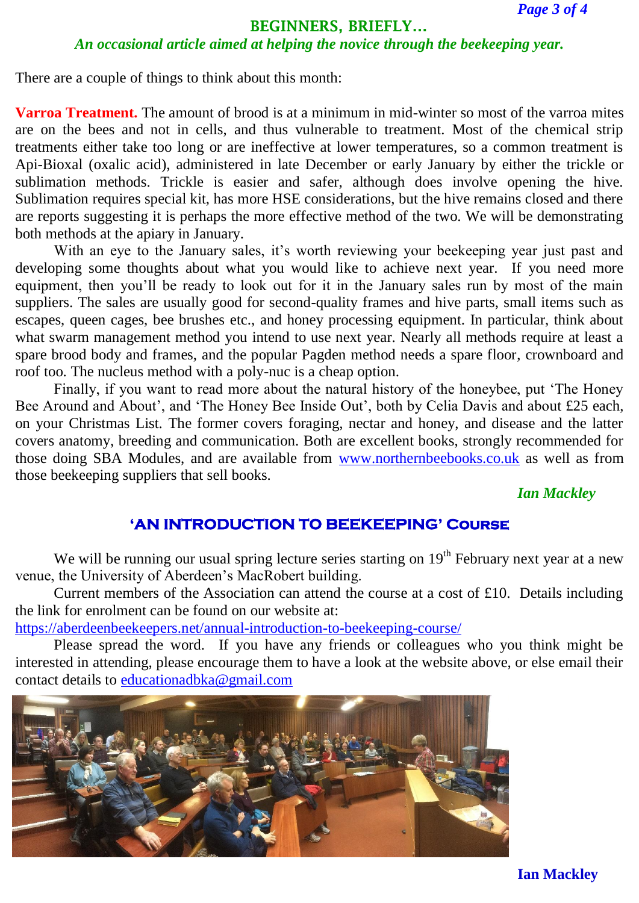#### **BEGINNERS, BRIEFLY…**

## *An occasional article aimed at helping the novice through the beekeeping year.*

There are a couple of things to think about this month:

**Varroa Treatment.** The amount of brood is at a minimum in mid-winter so most of the varroa mites are on the bees and not in cells, and thus vulnerable to treatment. Most of the chemical strip treatments either take too long or are ineffective at lower temperatures, so a common treatment is Api-Bioxal (oxalic acid), administered in late December or early January by either the trickle or sublimation methods. Trickle is easier and safer, although does involve opening the hive. Sublimation requires special kit, has more HSE considerations, but the hive remains closed and there are reports suggesting it is perhaps the more effective method of the two. We will be demonstrating both methods at the apiary in January.

With an eye to the January sales, it's worth reviewing your beekeeping year just past and developing some thoughts about what you would like to achieve next year. If you need more equipment, then you'll be ready to look out for it in the January sales run by most of the main suppliers. The sales are usually good for second-quality frames and hive parts, small items such as escapes, queen cages, bee brushes etc., and honey processing equipment. In particular, think about what swarm management method you intend to use next year. Nearly all methods require at least a spare brood body and frames, and the popular Pagden method needs a spare floor, crownboard and roof too. The nucleus method with a poly-nuc is a cheap option.

Finally, if you want to read more about the natural history of the honeybee, put 'The Honey Bee Around and About', and 'The Honey Bee Inside Out', both by Celia Davis and about £25 each, on your Christmas List. The former covers foraging, nectar and honey, and disease and the latter covers anatomy, breeding and communication. Both are excellent books, strongly recommended for those doing SBA Modules, and are available from [www.northernbeebooks.co.uk](http://www.northernbeebooks.co.uk/) as well as from those beekeeping suppliers that sell books.

## *Ian Mackley*

# **'AN INTRODUCTION TO BEEKEEPING' Course**

We will be running our usual spring lecture series starting on  $19<sup>th</sup>$  February next year at a new venue, the University of Aberdeen's MacRobert building.

Current members of the Association can attend the course at a cost of £10. Details including the link for enrolment can be found on our website at:

<https://aberdeenbeekeepers.net/annual-introduction-to-beekeeping-course/>

Please spread the word. If you have any friends or colleagues who you think might be interested in attending, please encourage them to have a look at the website above, or else email their contact details to [educationadbka@gmail.com](mailto:educationadbka@gmail.com)